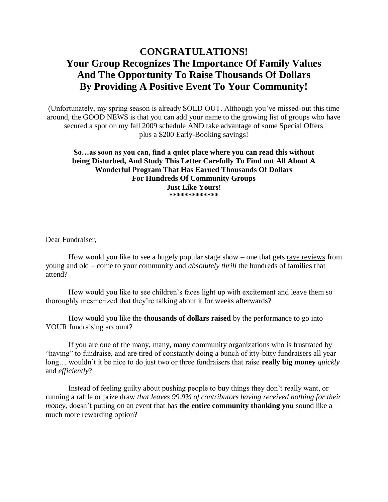# **CONGRATULATIONS! Your Group Recognizes The Importance Of Family Values And The Opportunity To Raise Thousands Of Dollars By Providing A Positive Event To Your Community!**

(Unfortunately, my spring season is already SOLD OUT. Although you've missed-out this time around, the GOOD NEWS is that you can add your name to the growing list of groups who have secured a spot on my fall 2009 schedule AND take advantage of some Special Offers plus a \$200 Early-Booking savings!

**So…as soon as you can, find a quiet place where you can read this without being Disturbed, And Study This Letter Carefully To Find out All About A Wonderful Program That Has Earned Thousands Of Dollars For Hundreds Of Community Groups Just Like Yours! \*\*\*\*\*\*\*\*\*\*\*\*\***

Dear Fundraiser,

How would you like to see a hugely popular stage show – one that gets rave reviews from young and old – come to your community and *absolutely thrill* the hundreds of families that attend?

How would you like to see children's faces light up with excitement and leave them so thoroughly mesmerized that they're talking about it for weeks afterwards?

How would you like the **thousands of dollars raised** by the performance to go into YOUR fundraising account?

If you are one of the many, many, many community organizations who is frustrated by "having" to fundraise, and are tired of constantly doing a bunch of itty-bitty fundraisers all year long… wouldn't it be nice to do just two or three fundraisers that raise **really big money** *quickly*  and *efficiently*?

Instead of feeling guilty about pushing people to buy things they don't really want, or running a raffle or prize draw *that leaves 99.9% of contributors having received nothing for their money*, doesn't putting on an event that has **the entire community thanking you** sound like a much more rewarding option?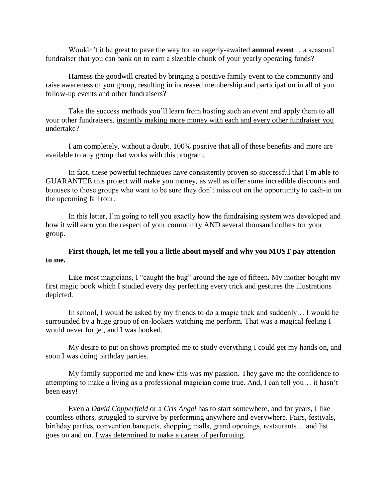Wouldn't it be great to pave the way for an eagerly-awaited **annual event** …a seasonal fundraiser that you can bank on to earn a sizeable chunk of your yearly operating funds?

Harness the goodwill created by bringing a positive family event to the community and raise awareness of you group, resulting in increased membership and participation in all of you follow-up events and other fundraisers?

Take the success methods you'll learn from hosting such an event and apply them to all your other fundraisers, instantly making more money with each and every other fundraiser you undertake?

I am completely, without a doubt, 100% positive that all of these benefits and more are available to any group that works with this program.

In fact, these powerful techniques have consistently proven so successful that I'm able to GUARANTEE this project will make you money, as well as offer some incredible discounts and bonuses to those groups who want to be sure they don't miss out on the opportunity to cash-in on the upcoming fall tour.

In this letter, I'm going to tell you exactly how the fundraising system was developed and how it will earn you the respect of your community AND several thousand dollars for your group.

### **First though, let me tell you a little about myself and why you MUST pay attention to me.**

Like most magicians, I "caught the bug" around the age of fifteen. My mother bought my first magic book which I studied every day perfecting every trick and gestures the illustrations depicted.

In school, I would be asked by my friends to do a magic trick and suddenly… I would be surrounded by a huge group of on-lookers watching me perform. That was a magical feeling I would never forget, and I was hooked.

My desire to put on shows prompted me to study everything I could get my hands on, and soon I was doing birthday parties.

My family supported me and knew this was my passion. They gave me the confidence to attempting to make a living as a professional magician come true. And, I can tell you… it hasn't been easy!

Even a *David Copperfield* or a *Cris Angel* has to start somewhere, and for years, I like countless others, struggled to survive by performing anywhere and everywhere. Fairs, festivals, birthday parties, convention banquets, shopping malls, grand openings, restaurants… and list goes on and on. I was determined to make a career of performing.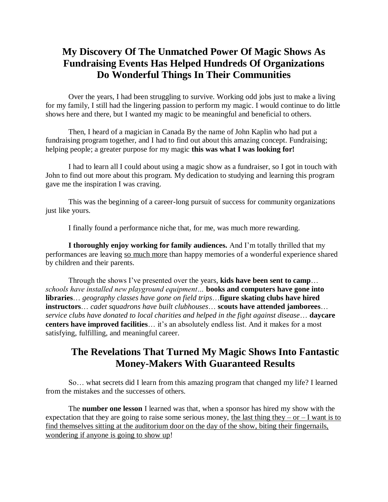# **My Discovery Of The Unmatched Power Of Magic Shows As Fundraising Events Has Helped Hundreds Of Organizations Do Wonderful Things In Their Communities**

Over the years, I had been struggling to survive. Working odd jobs just to make a living for my family, I still had the lingering passion to perform my magic. I would continue to do little shows here and there, but I wanted my magic to be meaningful and beneficial to others.

Then, I heard of a magician in Canada By the name of John Kaplin who had put a fundraising program together, and I had to find out about this amazing concept. Fundraising; helping people; a greater purpose for my magic **this was what I was looking for!**

I had to learn all I could about using a magic show as a fundraiser, so I got in touch with John to find out more about this program. My dedication to studying and learning this program gave me the inspiration I was craving.

This was the beginning of a career-long pursuit of success for community organizations just like yours.

I finally found a performance niche that, for me, was much more rewarding.

**I thoroughly enjoy working for family audiences.** And I'm totally thrilled that my performances are leaving so much more than happy memories of a wonderful experience shared by children and their parents.

Through the shows I've presented over the years, **kids have been sent to camp**… *schools have installed new playground equipment…* **books and computers have gone into libraries**… *geography classes have gone on field trips*…**figure skating clubs have hired instructors**… *cadet squadrons have built clubhouses*… **scouts have attended jamborees**… *service clubs have donated to local charities and helped in the fight against disease*… **daycare centers have improved facilities**… it's an absolutely endless list. And it makes for a most satisfying, fulfilling, and meaningful career.

# **The Revelations That Turned My Magic Shows Into Fantastic Money-Makers With Guaranteed Results**

So… what secrets did I learn from this amazing program that changed my life? I learned from the mistakes and the successes of others.

The **number one lesson** I learned was that, when a sponsor has hired my show with the expectation that they are going to raise some serious money, the last thing they – or – I want is to find themselves sitting at the auditorium door on the day of the show, biting their fingernails, wondering if anyone is going to show up!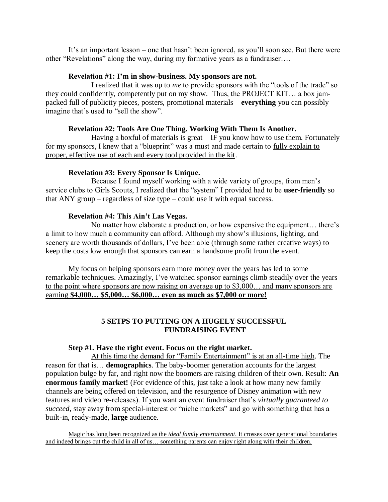It's an important lesson – one that hasn't been ignored, as you'll soon see. But there were other "Revelations" along the way, during my formative years as a fundraiser….

### **Revelation #1: I'm in show-business. My sponsors are not.**

I realized that it was up to *me* to provide sponsors with the "tools of the trade" so they could confidently, competently put on my show. Thus, the PROJECT KIT… a box jampacked full of publicity pieces, posters, promotional materials – **everything** you can possibly imagine that's used to "sell the show".

### **Revelation #2: Tools Are One Thing. Working With Them Is Another.**

Having a boxful of materials is great  $-$  IF you know how to use them. Fortunately for my sponsors, I knew that a "blueprint" was a must and made certain to  $\frac{fully}{\text{explain to}}$ proper, effective use of each and every tool provided in the kit.

### **Revelation #3: Every Sponsor Is Unique.**

Because I found myself working with a wide variety of groups, from men's service clubs to Girls Scouts, I realized that the "system" I provided had to be **user-friendly** so that ANY group – regardless of size type – could use it with equal success.

### **Revelation #4: This Ain't Las Vegas.**

No matter how elaborate a production, or how expensive the equipment… there's a limit to how much a community can afford. Although my show's illusions, lighting, and scenery are worth thousands of dollars, I've been able (through some rather creative ways) to keep the costs low enough that sponsors can earn a handsome profit from the event.

My focus on helping sponsors earn more money over the years has led to some remarkable techniques. Amazingly, I've watched sponsor earnings climb steadily over the years to the point where sponsors are now raising on average up to \$3,000… and many sponsors are earning **\$4,000… \$5,000… \$6,000… even as much as \$7,000 or more!**

### **5 SETPS TO PUTTING ON A HUGELY SUCCESSFUL FUNDRAISING EVENT**

### **Step #1. Have the right event. Focus on the right market.**

At this time the demand for "Family Entertainment" is at an all-time high. The reason for that is… **demographics**. The baby-boomer generation accounts for the largest population bulge by far, and right now the boomers are raising children of their own. Result: **An enormous family market!** (For evidence of this, just take a look at how many new family channels are being offered on television, and the resurgence of Disney animation with new features and video re-releases). If you want an event fundraiser that's *virtually guaranteed to succeed*, stay away from special-interest or "niche markets" and go with something that has a built-in, ready-made, **large** audience.

Magic has long been recognized as the *ideal family entertainment*. It crosses over generational boundaries and indeed brings out the child in all of us… something parents can enjoy right along with their children.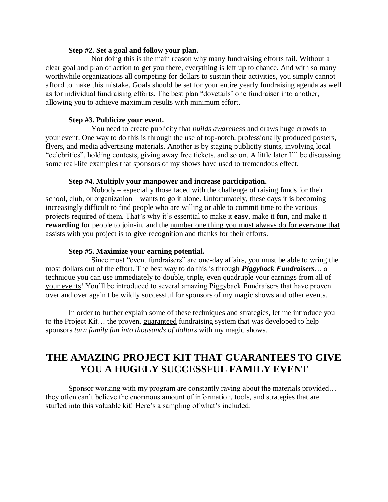#### **Step #2. Set a goal and follow your plan.**

Not doing this is the main reason why many fundraising efforts fail. Without a clear goal and plan of action to get you there, everything is left up to chance. And with so many worthwhile organizations all competing for dollars to sustain their activities, you simply cannot afford to make this mistake. Goals should be set for your entire yearly fundraising agenda as well as for individual fundraising efforts. The best plan "dovetails' one fundraiser into another, allowing you to achieve maximum results with minimum effort.

### **Step #3. Publicize your event.**

You need to create publicity that *builds awareness* and draws huge crowds to your event. One way to do this is through the use of top-notch, professionally produced posters, flyers, and media advertising materials. Another is by staging publicity stunts, involving local "celebrities", holding contests, giving away free tickets, and so on. A little later I'll be discussing some real-life examples that sponsors of my shows have used to tremendous effect.

### **Step #4. Multiply your manpower and increase participation.**

Nobody – especially those faced with the challenge of raising funds for their school, club, or organization – wants to go it alone. Unfortunately, these days it is becoming increasingly difficult to find people who are willing or able to commit time to the various projects required of them. That's why it's essential to make it **easy**, make it **fun**, and make it **rewarding** for people to join-in. and the number one thing you must always do for everyone that assists with you project is to give recognition and thanks for their efforts.

### **Step #5. Maximize your earning potential.**

Since most "event fundraisers" are one-day affairs, you must be able to wring the most dollars out of the effort. The best way to do this is through *Piggyback Fundraisers*… a technique you can use immediately to double, triple, even quadruple your earnings from all of your events! You'll be introduced to several amazing Piggyback Fundraisers that have proven over and over again t be wildly successful for sponsors of my magic shows and other events.

In order to further explain some of these techniques and strategies, let me introduce you to the Project Kit… the proven, guaranteed fundraising system that was developed to help sponsors *turn family fun into thousands of dollars* with my magic shows.

# **THE AMAZING PROJECT KIT THAT GUARANTEES TO GIVE YOU A HUGELY SUCCESSFUL FAMILY EVENT**

Sponsor working with my program are constantly raving about the materials provided… they often can't believe the enormous amount of information, tools, and strategies that are stuffed into this valuable kit! Here's a sampling of what's included: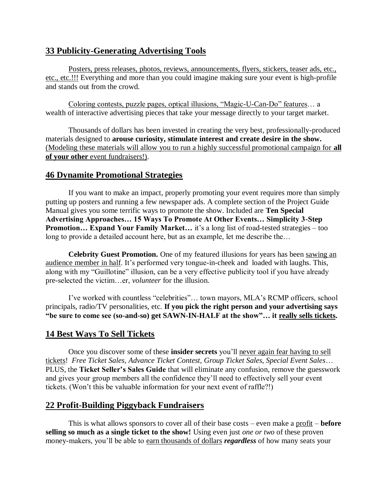## **33 Publicity-Generating Advertising Tools**

Posters, press releases, photos, reviews, announcements, flyers, stickers, teaser ads, etc., etc., etc.!!! Everything and more than you could imagine making sure your event is high-profile and stands out from the crowd.

Coloring contests, puzzle pages, optical illusions, "Magic-U-Can-Do" features… a wealth of interactive advertising pieces that take your message directly to your target market.

Thousands of dollars has been invested in creating the very best, professionally-produced materials designed to **arouse curiosity, stimulate interest and create desire in the show.** (Modeling these materials will allow you to run a highly successful promotional campaign for **all of your other** event fundraisers!).

## **46 Dynamite Promotional Strategies**

If you want to make an impact, properly promoting your event requires more than simply putting up posters and running a few newspaper ads. A complete section of the Project Guide Manual gives you some terrific ways to promote the show. Included are **Ten Special Advertising Approaches… 15 Ways To Promote At Other Events… Simplicity 3-Step Promotion… Expand Your Family Market…** it's a long list of road-tested strategies – too long to provide a detailed account here, but as an example, let me describe the…

**Celebrity Guest Promotion.** One of my featured illusions for years has been sawing an audience member in half. It's performed very tongue-in-cheek and loaded with laughs. This, along with my "Guillotine" illusion, can be a very effective publicity tool if you have already pre-selected the victim…er, *volunteer* for the illusion.

I've worked with countless "celebrities"… town mayors, MLA's RCMP officers, school principals, radio/TV personalities, etc. **If you pick the right person and your advertising says "be sure to come see (so-and-so) get SAWN-IN-HALF at the show"… it really sells tickets.**

## **14 Best Ways To Sell Tickets**

Once you discover some of these **insider secrets** you'll never again fear having to sell tickets! *Free Ticket Sales, Advance Ticket Contest, Group Ticket Sales, Special Event Sales*… PLUS, the **Ticket Seller's Sales Guide** that will eliminate any confusion, remove the guesswork and gives your group members all the confidence they'll need to effectively sell your event tickets. (Won't this be valuable information for your next event of raffle?!)

## **22 Profit-Building Piggyback Fundraisers**

This is what allows sponsors to cover all of their base costs – even make a profit – **before selling so much as a single ticket to the show!** Using even just *one or two* of these proven money-makers, you'll be able to earn thousands of dollars *regardless* of how many seats your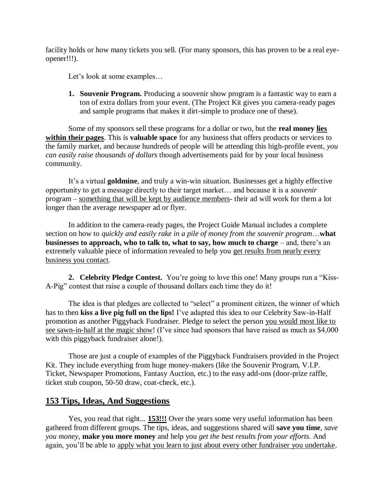facility holds or how many tickets you sell. (For many sponsors, this has proven to be a real eyeopener!!!).

Let's look at some examples...

**1. Souvenir Program.** Producing a souvenir show program is a fantastic way to earn a ton of extra dollars from your event. (The Project Kit gives you camera-ready pages and sample programs that makes it dirt-simple to produce one of these).

Some of my sponsors sell these programs for a dollar or two, but the **real money lies within their pages**. This is **valuable space** for any business that offers products or services to the family market, and because hundreds of people will be attending this high-profile event, *you can easily raise thousands of dollars* though advertisements paid for by your local business community.

It's a virtual **goldmine**, and truly a win-win situation. Businesses get a highly effective opportunity to get a message directly to their target market… and because it is a *souvenir*  program – something that will be kept by audience members- their ad will work for them a lot longer than the average newspaper ad or flyer.

In addition to the camera-ready pages, the Project Guide Manual includes a complete section on how to *quickly and easily rake in a pile of money from the souvenir program*…**what businesses to approach, who to talk to, what to say, how much to charge** – and, there's an extremely valuable piece of information revealed to help you get results from nearly every business you contact.

**2. Celebrity Pledge Contest.** You're going to love this one! Many groups run a "Kiss-A-Pig" contest that raise a couple of thousand dollars each time they do it!

The idea is that pledges are collected to "select" a prominent citizen, the winner of which has to then **kiss a live pig full on the lips!** I've adapted this idea to our Celebrity Saw-in-Half promotion as another Piggyback Fundraiser. Pledge to select the person you would most like to see sawn-in-half at the magic show! (I've since had sponsors that have raised as much as \$4,000 with this piggyback fundraiser alone!).

Those are just a couple of examples of the Piggyback Fundraisers provided in the Project Kit. They include everything from huge money-makers (like the Souvenir Program, V.I.P. Ticket, Newspaper Promotions, Fantasy Auction, etc.) to the easy add-ons (door-prize raffle, ticket stub coupon, 50-50 draw, coat-check, etc.).

### **153 Tips, Ideas, And Suggestions**

Yes, you read that right... **153!!!** Over the years some very useful information has been gathered from different groups. The tips, ideas, and suggestions shared will **save you time**, *save you money*, **make you more money** and help you *get the best results from your efforts*. And again, you'll be able to apply what you learn to just about every other fundraiser you undertake.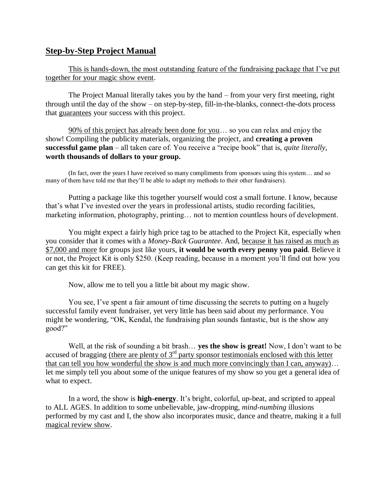### **Step-by-Step Project Manual**

This is hands-down, the most outstanding feature of the fundraising package that I've put together for your magic show event.

The Project Manual literally takes you by the hand – from your very first meeting, right through until the day of the show – on step-by-step, fill-in-the-blanks, connect-the-dots process that guarantees your success with this project.

90% of this project has already been done for you… so you can relax and enjoy the show! Compiling the publicity materials, organizing the project, and **creating a proven successful game plan** – all taken care of. You receive a "recipe book" that is, *quite literally*, **worth thousands of dollars to your group.**

(In fact, over the years I have received so many compliments from sponsors using this system… and so many of them have told me that they'll be able to adapt my methods to their other fundraisers).

Putting a package like this together yourself would cost a small fortune. I know, because that's what I've invested over the years in professional artists, studio recording facilities, marketing information, photography, printing… not to mention countless hours of development.

You might expect a fairly high price tag to be attached to the Project Kit, especially when you consider that it comes with a *Money-Back Guarantee*. And, because it has raised as much as \$7,000 and more for groups just like yours, **it would be worth every penny you paid**. Believe it or not, the Project Kit is only \$250. (Keep reading, because in a moment you'll find out how you can get this kit for FREE).

Now, allow me to tell you a little bit about my magic show.

You see, I've spent a fair amount of time discussing the secrets to putting on a hugely successful family event fundraiser, yet very little has been said about my performance. You might be wondering, "OK, Kendal, the fundraising plan sounds fantastic, but is the show any good?"

Well, at the risk of sounding a bit brash… **yes the show is great!** Now, I don't want to be accused of bragging (there are plenty of  $3<sup>rd</sup>$  party sponsor testimonials enclosed with this letter that can tell you how wonderful the show is and much more convincingly than I can, anyway)… let me simply tell you about some of the unique features of my show so you get a general idea of what to expect.

In a word, the show is **high-energy**. It's bright, colorful, up-beat, and scripted to appeal to ALL AGES. In addition to some unbelievable, jaw-dropping, *mind-numbing* illusions performed by my cast and I, the show also incorporates music, dance and theatre, making it a full magical review show.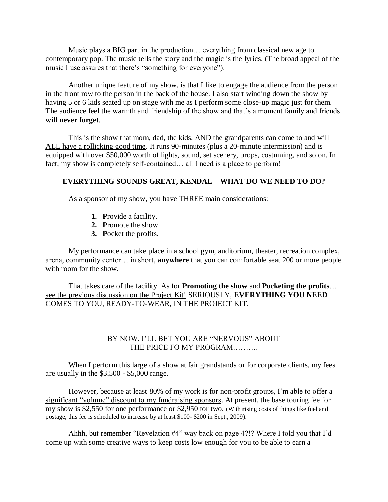Music plays a BIG part in the production… everything from classical new age to contemporary pop. The music tells the story and the magic is the lyrics. (The broad appeal of the music I use assures that there's "something for everyone").

Another unique feature of my show, is that I like to engage the audience from the person in the front row to the person in the back of the house. I also start winding down the show by having 5 or 6 kids seated up on stage with me as I perform some close-up magic just for them. The audience feel the warmth and friendship of the show and that's a moment family and friends will **never forget**.

This is the show that mom, dad, the kids, AND the grandparents can come to and will ALL have a rollicking good time. It runs 90-minutes (plus a 20-minute intermission) and is equipped with over \$50,000 worth of lights, sound, set scenery, props, costuming, and so on. In fact, my show is completely self-contained… all I need is a place to perform!

#### **EVERYTHING SOUNDS GREAT, KENDAL – WHAT DO WE NEED TO DO?**

As a sponsor of my show, you have THREE main considerations:

- **1. P**rovide a facility.
- **2. P**romote the show.
- **3. P**ocket the profits.

My performance can take place in a school gym, auditorium, theater, recreation complex, arena, community center… in short, **anywhere** that you can comfortable seat 200 or more people with room for the show.

That takes care of the facility. As for **Promoting the show** and **Pocketing the profits**… see the previous discussion on the Project Kit! SERIOUSLY, **EVERYTHING YOU NEED** COMES TO YOU, READY-TO-WEAR, IN THE PROJECT KIT.

### BY NOW, I'LL BET YOU ARE "NERVOUS" ABOUT THE PRICE FO MY PROGRAM……….

When I perform this large of a show at fair grandstands or for corporate clients, my fees are usually in the \$3,500 - \$5,000 range.

However, because at least 80% of my work is for non-profit groups, I'm able to offer a significant "volume" discount to my fundraising sponsors. At present, the base touring fee for my show is \$2,550 for one performance or \$2,950 for two. (With rising costs of things like fuel and postage, this fee is scheduled to increase by at least \$100- \$200 in Sept., 2009).

Ahhh, but remember "Revelation #4" way back on page 4?!? Where I told you that I'd come up with some creative ways to keep costs low enough for you to be able to earn a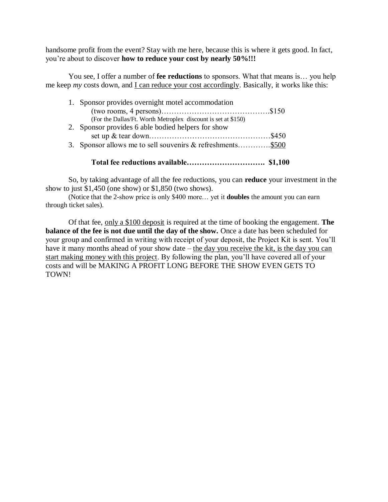handsome profit from the event? Stay with me here, because this is where it gets good. In fact, you're about to discover **how to reduce your cost by nearly 50%!!!**

You see, I offer a number of **fee reductions** to sponsors. What that means is... you help me keep *my* costs down, and I can reduce your cost accordingly. Basically, it works like this:

| 1. Sponsor provides overnight motel accommodation             |
|---------------------------------------------------------------|
|                                                               |
| (For the Dallas/Ft. Worth Metroplex discount is set at \$150) |
| 2. Sponsor provides 6 able bodied helpers for show            |
|                                                               |
| 3. Sponsor allows me to sell souvenirs & refreshments\$500    |
|                                                               |

**Total fee reductions available…………………………. \$1,100**

So, by taking advantage of all the fee reductions, you can **reduce** your investment in the show to just \$1,450 (one show) or \$1,850 (two shows).

(Notice that the 2-show price is only \$400 more… yet it **doubles** the amount you can earn through ticket sales).

Of that fee, only a \$100 deposit is required at the time of booking the engagement. **The balance of the fee is not due until the day of the show.** Once a date has been scheduled for your group and confirmed in writing with receipt of your deposit, the Project Kit is sent. You'll have it many months ahead of your show date – the day you receive the kit, is the day you can start making money with this project. By following the plan, you'll have covered all of your costs and will be MAKING A PROFIT LONG BEFORE THE SHOW EVEN GETS TO TOWN!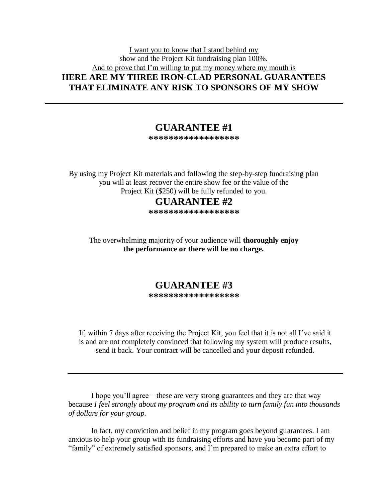### I want you to know that I stand behind my show and the Project Kit fundraising plan 100%. And to prove that I'm willing to put my money where my mouth is **HERE ARE MY THREE IRON-CLAD PERSONAL GUARANTEES THAT ELIMINATE ANY RISK TO SPONSORS OF MY SHOW**

## **GUARANTEE #1**

**\*\*\*\*\*\*\*\*\*\*\*\*\*\*\*\*\*\***

By using my Project Kit materials and following the step-by-step fundraising plan you will at least recover the entire show fee or the value of the Project Kit (\$250) will be fully refunded to you.

## **GUARANTEE #2**

**\*\*\*\*\*\*\*\*\*\*\*\*\*\*\*\*\*\***

The overwhelming majority of your audience will **thoroughly enjoy the performance or there will be no charge.**

### **GUARANTEE #3 \*\*\*\*\*\*\*\*\*\*\*\*\*\*\*\*\*\***

If, within 7 days after receiving the Project Kit, you feel that it is not all I've said it is and are not completely convinced that following my system will produce results, send it back. Your contract will be cancelled and your deposit refunded.

I hope you'll agree – these are very strong guarantees and they are that way because *I feel strongly about my program and its ability to turn family fun into thousands of dollars for your group.*

In fact, my conviction and belief in my program goes beyond guarantees. I am anxious to help your group with its fundraising efforts and have you become part of my "family" of extremely satisfied sponsors, and I'm prepared to make an extra effort to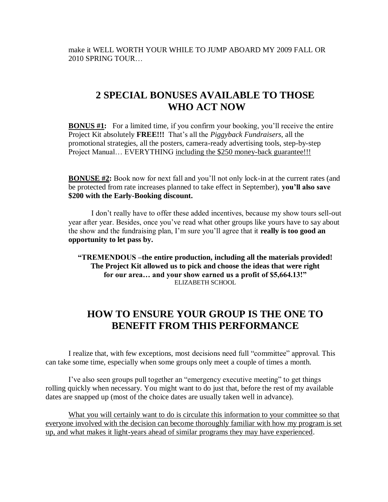make it WELL WORTH YOUR WHILE TO JUMP ABOARD MY 2009 FALL OR 2010 SPRING TOUR…

# **2 SPECIAL BONUSES AVAILABLE TO THOSE WHO ACT NOW**

**BONUS #1:** For a limited time, if you confirm your booking, you'll receive the entire Project Kit absolutely **FREE!!!** That's all the *Piggyback Fundraisers*, all the promotional strategies, all the posters, camera-ready advertising tools, step-by-step Project Manual... EVERYTHING including the \$250 money-back guarantee!!!

**BONUSE #2:** Book now for next fall and you'll not only lock-in at the current rates (and be protected from rate increases planned to take effect in September), **you'll also save \$200 with the Early-Booking discount.**

I don't really have to offer these added incentives, because my show tours sell-out year after year. Besides, once you've read what other groups like yours have to say about the show and the fundraising plan, I'm sure you'll agree that it **really is too good an opportunity to let pass by.**

**"TREMENDOUS –the entire production, including all the materials provided! The Project Kit allowed us to pick and choose the ideas that were right for our area… and your show earned us a profit of \$5,664.13!"** ELIZABETH SCHOOL

## **HOW TO ENSURE YOUR GROUP IS THE ONE TO BENEFIT FROM THIS PERFORMANCE**

I realize that, with few exceptions, most decisions need full "committee" approval. This can take some time, especially when some groups only meet a couple of times a month.

I've also seen groups pull together an "emergency executive meeting" to get things rolling quickly when necessary. You might want to do just that, before the rest of my available dates are snapped up (most of the choice dates are usually taken well in advance).

What you will certainly want to do is circulate this information to your committee so that everyone involved with the decision can become thoroughly familiar with how my program is set up, and what makes it light-years ahead of similar programs they may have experienced.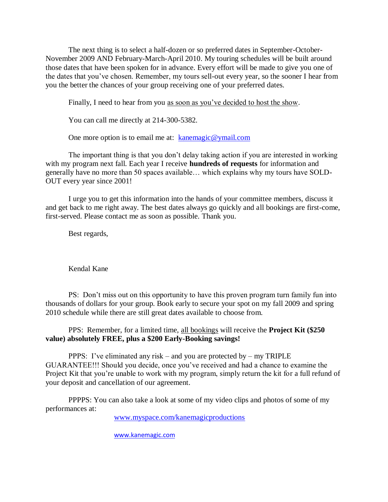The next thing is to select a half-dozen or so preferred dates in September-October-November 2009 AND February-March-April 2010. My touring schedules will be built around those dates that have been spoken for in advance. Every effort will be made to give you one of the dates that you've chosen. Remember, my tours sell-out every year, so the sooner I hear from you the better the chances of your group receiving one of your preferred dates.

Finally, I need to hear from you as soon as you've decided to host the show.

You can call me directly at 214-300-5382.

One more option is to email me at: [kanemagic@ymail.com](mailto:kanemagic@ymail.com)

The important thing is that you don't delay taking action if you are interested in working with my program next fall. Each year I receive **hundreds of requests** for information and generally have no more than 50 spaces available… which explains why my tours have SOLD-OUT every year since 2001!

I urge you to get this information into the hands of your committee members, discuss it and get back to me right away. The best dates always go quickly and all bookings are first-come, first-served. Please contact me as soon as possible. Thank you.

Best regards,

Kendal Kane

PS: Don't miss out on this opportunity to have this proven program turn family fun into thousands of dollars for your group. Book early to secure your spot on my fall 2009 and spring 2010 schedule while there are still great dates available to choose from.

PPS: Remember, for a limited time, all bookings will receive the **Project Kit (\$250 value) absolutely FREE, plus a \$200 Early-Booking savings!**

PPPS: I've eliminated any risk – and you are protected by – my TRIPLE GUARANTEE!!! Should you decide, once you've received and had a chance to examine the Project Kit that you're unable to work with my program, simply return the kit for a full refund of your deposit and cancellation of our agreement.

PPPPS: You can also take a look at some of my video clips and photos of some of my performances at:

[www.myspace.com/kanemagicproductions](http://www.myspace.com/kanemagicproductions)

[www.kanemagic.com](http://www.kanemagic.com/)